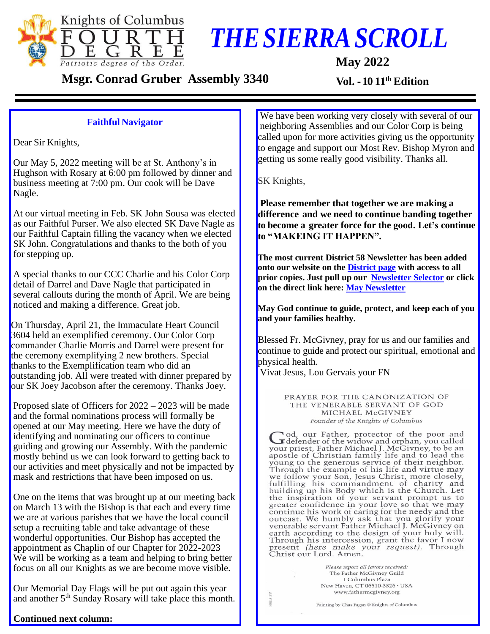

## *THESIERRASCROLL*

 **May 2022**

**Msgr.** Conrad Gruber Assembly 3340

Vol. - 10 11<sup>th</sup> Edition

## **Faithful Navigator**

Dear Sir Knights,

Our May 5, 2022 meeting will be at St. Anthony's in Hughson with Rosary at 6:00 pm followed by dinner and business meeting at 7:00 pm. Our cook will be Dave Nagle.

At our virtual meeting in Feb. SK John Sousa was elected as our Faithful Purser. We also elected SK Dave Nagle as our Faithful Captain filling the vacancy when we elected SK John. Congratulations and thanks to the both of you for stepping up.

A special thanks to our CCC Charlie and his Color Corp detail of Darrel and Dave Nagle that participated in several callouts during the month of April. We are being noticed and making a difference. Great job.

On Thursday, April 21, the Immaculate Heart Council 3604 held an exemplified ceremony. Our Color Corp commander Charlie Morris and Darrel were present for the ceremony exemplifying 2 new brothers. Special thanks to the Exemplification team who did an outstanding job. All were treated with dinner prepared by our SK Joey Jacobson after the ceremony. Thanks Joey.

Proposed slate of Officers for 2022 – 2023 will be made and the formal nominations process will formally be opened at our May meeting. Here we have the duty of identifying and nominating our officers to continue guiding and growing our Assembly. With the pandemic mostly behind us we can look forward to getting back to our activities and meet physically and not be impacted by mask and restrictions that have been imposed on us.

One on the items that was brought up at our meeting back on March 13 with the Bishop is that each and every time we are at various parishes that we have the local council setup a recruiting table and take advantage of these wonderful opportunities. Our Bishop has accepted the appointment as Chaplin of our Chapter for 2022-2023 We will be working as a team and helping to bring better focus on all our Knights as we are become move visible.

Our Memorial Day Flags will be put out again this year and another 5<sup>th</sup> Sunday Rosary will take place this month.

**Continued next column:**

We have been working very closely with several of our neighboring Assemblies and our Color Corp is being called upon for more activities giving us the opportunity to engage and support our Most Rev. Bishop Myron and getting us some really good visibility. Thanks all.

**SK Knights,** 

**Please remember that together we are making a difference and we need to continue banding together to become a greater force for the good. Let's continue to "MAKEING IT HAPPEN".** 

**The most current District 58 Newsletter has been added onto our website on the [District page](https://kofcchap6ca.org/district-58/) with access to all prior copies. Just pull up our [Newsletter Selector](https://kofcchap6ca.org/wp-content/C6-nls.html) or click on the direct link here: May [Newsletter](https://kofcchap6ca.org/wp-content/Newsletters/DD/May-2022.pdf)**

**May God continue to guide, protect, and keep each of you and your families healthy.** 

Blessed Fr. McGivney, pray for us and our families and continue to guide and protect our spiritual, emotional and physical health.

Vivat Jesus, Lou Gervais your FN

PRAYER FOR THE CANONIZATION OF THE VENERABLE SERVANT OF GOD MICHAEL McGIVNEY Founder of the Knights of Columbus

od, our Father, protector of the poor and I defender of the widow and orphan, you called your priest, Father Michael J. McGivney, to be an<br>apostle of Christian family life and to lead the aposite of the generous service of their neighbor.<br>Through the example of his life and virtue may<br>we follow your Son, Jesus Christ, more closely,<br>fulfilling his commandment of charity and building up his Body which is the Church. Let the inspiration of your servant prompt us to greater confidence in your love so that we may continue his work of caring for the needy and the<br>outcast. We humbly ask that you glorify your venerable servant Father Michael J. McGivney on earth according to the design of your holy will.<br>Through his intercession, grant the favor I now present (here make your request). Through<br>Christ our Lord. Amen.

> Please report all favors received: The Father McGivney Guild 1 Columbus Plaza New Haven, CT 06510-3326 · USA www.fathermcgivney.org

Painting by Chas Fagan © Knights of Columbus